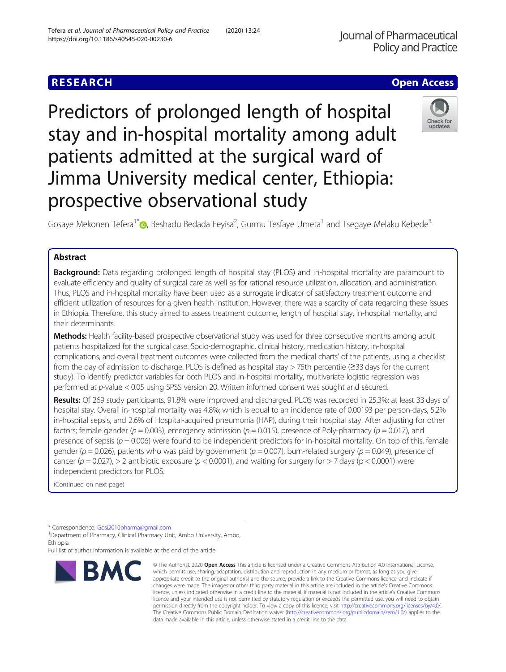# **RESEARCH CHE Open Access**

Predictors of prolonged length of hospital stay and in-hospital mortality among adult patients admitted at the surgical ward of Jimma University medical center, Ethiopia: prospective observational study



Gosaye Mekonen Tefera<sup>1[\\*](http://orcid.org/0000-0002-7534-2828)</sup> <sup>D</sup>, Beshadu Bedada Feyisa<sup>2</sup>, Gurmu Tesfaye Umeta<sup>1</sup> and Tsegaye Melaku Kebede<sup>3</sup>

## Abstract

**Background:** Data regarding prolonged length of hospital stay (PLOS) and in-hospital mortality are paramount to evaluate efficiency and quality of surgical care as well as for rational resource utilization, allocation, and administration. Thus, PLOS and in-hospital mortality have been used as a surrogate indicator of satisfactory treatment outcome and efficient utilization of resources for a given health institution. However, there was a scarcity of data regarding these issues in Ethiopia. Therefore, this study aimed to assess treatment outcome, length of hospital stay, in-hospital mortality, and their determinants.

Methods: Health facility-based prospective observational study was used for three consecutive months among adult patients hospitalized for the surgical case. Socio-demographic, clinical history, medication history, in-hospital complications, and overall treatment outcomes were collected from the medical charts' of the patients, using a checklist from the day of admission to discharge. PLOS is defined as hospital stay > 75th percentile (≥33 days for the current study). To identify predictor variables for both PLOS and in-hospital mortality, multivariate logistic regression was performed at p-value < 0.05 using SPSS version 20. Written informed consent was sought and secured.

Results: Of 269 study participants, 91.8% were improved and discharged. PLOS was recorded in 25.3%; at least 33 days of hospital stay. Overall in-hospital mortality was 4.8%; which is equal to an incidence rate of 0.00193 per person-days, 5.2% in-hospital sepsis, and 2.6% of Hospital-acquired pneumonia (HAP), during their hospital stay. After adjusting for other factors; female gender ( $p = 0.003$ ), emergency admission ( $p = 0.015$ ), presence of Poly-pharmacy ( $p = 0.017$ ), and presence of sepsis ( $p = 0.006$ ) were found to be independent predictors for in-hospital mortality. On top of this, female gender ( $p = 0.026$ ), patients who was paid by government ( $p = 0.007$ ), burn-related surgery ( $p = 0.049$ ), presence of cancer ( $p = 0.027$ ), > 2 antibiotic exposure ( $p < 0.0001$ ), and waiting for surgery for > 7 days ( $p < 0.0001$ ) were independent predictors for PLOS.

(Continued on next page)

Full list of author information is available at the end of the article



<sup>©</sup> The Author(s), 2020 **Open Access** This article is licensed under a Creative Commons Attribution 4.0 International License, which permits use, sharing, adaptation, distribution and reproduction in any medium or format, as long as you give appropriate credit to the original author(s) and the source, provide a link to the Creative Commons licence, and indicate if changes were made. The images or other third party material in this article are included in the article's Creative Commons licence, unless indicated otherwise in a credit line to the material. If material is not included in the article's Creative Commons licence and your intended use is not permitted by statutory regulation or exceeds the permitted use, you will need to obtain permission directly from the copyright holder. To view a copy of this licence, visit [http://creativecommons.org/licenses/by/4.0/.](http://creativecommons.org/licenses/by/4.0/) The Creative Commons Public Domain Dedication waiver [\(http://creativecommons.org/publicdomain/zero/1.0/](http://creativecommons.org/publicdomain/zero/1.0/)) applies to the data made available in this article, unless otherwise stated in a credit line to the data.

<sup>\*</sup> Correspondence: [Gosi2010pharma@gmail.com](mailto:Gosi2010pharma@gmail.com) <sup>1</sup>

<sup>&</sup>lt;sup>1</sup>Department of Pharmacy, Clinical Pharmacy Unit, Ambo University, Ambo, Ethiopia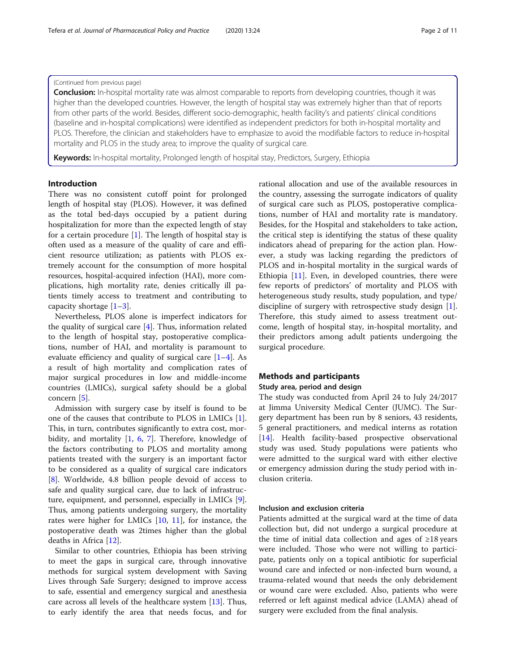## (Continued from previous page)

**Conclusion:** In-hospital mortality rate was almost comparable to reports from developing countries, though it was higher than the developed countries. However, the length of hospital stay was extremely higher than that of reports from other parts of the world. Besides, different socio-demographic, health facility's and patients' clinical conditions (baseline and in-hospital complications) were identified as independent predictors for both in-hospital mortality and PLOS. Therefore, the clinician and stakeholders have to emphasize to avoid the modifiable factors to reduce in-hospital mortality and PLOS in the study area; to improve the quality of surgical care.

Keywords: In-hospital mortality, Prolonged length of hospital stay, Predictors, Surgery, Ethiopia

## Introduction

There was no consistent cutoff point for prolonged length of hospital stay (PLOS). However, it was defined as the total bed-days occupied by a patient during hospitalization for more than the expected length of stay for a certain procedure [[1\]](#page-10-0). The length of hospital stay is often used as a measure of the quality of care and efficient resource utilization; as patients with PLOS extremely account for the consumption of more hospital resources, hospital-acquired infection (HAI), more complications, high mortality rate, denies critically ill patients timely access to treatment and contributing to capacity shortage  $[1-3]$  $[1-3]$  $[1-3]$ .

Nevertheless, PLOS alone is imperfect indicators for the quality of surgical care [[4\]](#page-10-0). Thus, information related to the length of hospital stay, postoperative complications, number of HAI, and mortality is paramount to evaluate efficiency and quality of surgical care  $[1-4]$  $[1-4]$  $[1-4]$ . As a result of high mortality and complication rates of major surgical procedures in low and middle-income countries (LMICs), surgical safety should be a global concern [[5\]](#page-10-0).

Admission with surgery case by itself is found to be one of the causes that contribute to PLOS in LMICs [\[1](#page-10-0)]. This, in turn, contributes significantly to extra cost, morbidity, and mortality [\[1](#page-10-0), [6,](#page-10-0) [7](#page-10-0)]. Therefore, knowledge of the factors contributing to PLOS and mortality among patients treated with the surgery is an important factor to be considered as a quality of surgical care indicators [[8\]](#page-10-0). Worldwide, 4.8 billion people devoid of access to safe and quality surgical care, due to lack of infrastructure, equipment, and personnel, especially in LMICs [\[9](#page-10-0)]. Thus, among patients undergoing surgery, the mortality rates were higher for LMICs [\[10,](#page-10-0) [11](#page-10-0)], for instance, the postoperative death was 2times higher than the global deaths in Africa [[12\]](#page-10-0).

Similar to other countries, Ethiopia has been striving to meet the gaps in surgical care, through innovative methods for surgical system development with Saving Lives through Safe Surgery; designed to improve access to safe, essential and emergency surgical and anesthesia care across all levels of the healthcare system [\[13\]](#page-10-0). Thus, to early identify the area that needs focus, and for

rational allocation and use of the available resources in the country, assessing the surrogate indicators of quality of surgical care such as PLOS, postoperative complications, number of HAI and mortality rate is mandatory. Besides, for the Hospital and stakeholders to take action, the critical step is identifying the status of these quality indicators ahead of preparing for the action plan. However, a study was lacking regarding the predictors of PLOS and in-hospital mortality in the surgical wards of Ethiopia [\[11\]](#page-10-0). Even, in developed countries, there were few reports of predictors' of mortality and PLOS with heterogeneous study results, study population, and type/ discipline of surgery with retrospective study design [\[1](#page-10-0)]. Therefore, this study aimed to assess treatment outcome, length of hospital stay, in-hospital mortality, and their predictors among adult patients undergoing the surgical procedure.

### Methods and participants

#### Study area, period and design

The study was conducted from April 24 to July 24/2017 at Jimma University Medical Center (JUMC). The Surgery department has been run by 8 seniors, 43 residents, 5 general practitioners, and medical interns as rotation [[14\]](#page-10-0). Health facility-based prospective observational study was used. Study populations were patients who were admitted to the surgical ward with either elective or emergency admission during the study period with inclusion criteria.

#### Inclusion and exclusion criteria

Patients admitted at the surgical ward at the time of data collection but, did not undergo a surgical procedure at the time of initial data collection and ages of ≥18 years were included. Those who were not willing to participate, patients only on a topical antibiotic for superficial wound care and infected or non-infected burn wound, a trauma-related wound that needs the only debridement or wound care were excluded. Also, patients who were referred or left against medical advice (LAMA) ahead of surgery were excluded from the final analysis.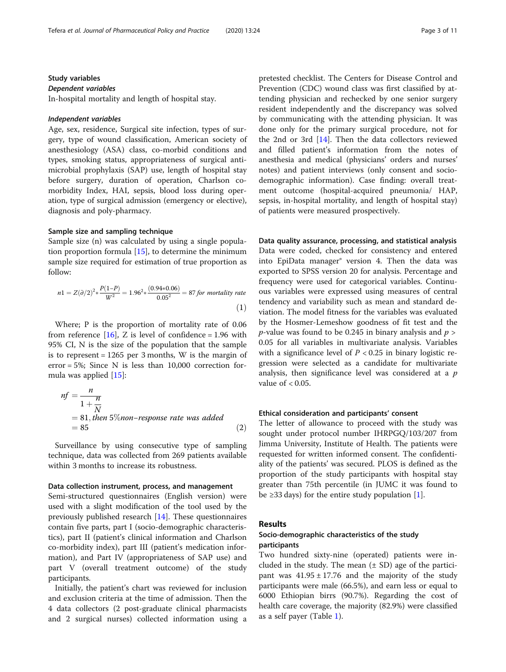## Study variables Dependent variables

In-hospital mortality and length of hospital stay.

## Independent variables

Age, sex, residence, Surgical site infection, types of surgery, type of wound classification, American society of anesthesiology (ASA) class, co-morbid conditions and types, smoking status, appropriateness of surgical antimicrobial prophylaxis (SAP) use, length of hospital stay before surgery, duration of operation, Charlson comorbidity Index, HAI, sepsis, blood loss during operation, type of surgical admission (emergency or elective), diagnosis and poly-pharmacy.

## Sample size and sampling technique

Sample size (n) was calculated by using a single population proportion formula [\[15\]](#page-10-0), to determine the minimum sample size required for estimation of true proportion as follow:

$$
n1 = Z(\partial/2)^2 * \frac{P(1-P)}{W^2} = 1.96^2 * \frac{(0.94 * 0.06)}{0.05^2} = 87 \text{ for mortality rate}
$$
\n(1)

Where; P is the proportion of mortality rate of 0.06 from reference  $[16]$  $[16]$ , Z is level of confidence = 1.96 with 95% CI, N is the size of the population that the sample is to represent  $= 1265$  per 3 months, W is the margin of error = 5%; Since N is less than 10,000 correction formula was applied [[15\]](#page-10-0):

$$
nf = \frac{n}{1 + \frac{n}{N}}
$$
  
= 81, then 5%non-response rate was added  
= 85 (2)

Surveillance by using consecutive type of sampling technique, data was collected from 269 patients available within 3 months to increase its robustness.

## Data collection instrument, process, and management

Semi-structured questionnaires (English version) were used with a slight modification of the tool used by the previously published research [\[14\]](#page-10-0). These questionnaires contain five parts, part I (socio-demographic characteristics), part II (patient's clinical information and Charlson co-morbidity index), part III (patient's medication information), and Part IV (appropriateness of SAP use) and part V (overall treatment outcome) of the study participants.

Initially, the patient's chart was reviewed for inclusion and exclusion criteria at the time of admission. Then the 4 data collectors (2 post-graduate clinical pharmacists and 2 surgical nurses) collected information using a

pretested checklist. The Centers for Disease Control and Prevention (CDC) wound class was first classified by attending physician and rechecked by one senior surgery resident independently and the discrepancy was solved by communicating with the attending physician. It was done only for the primary surgical procedure, not for the 2nd or 3rd [[14](#page-10-0)]. Then the data collectors reviewed and filled patient's information from the notes of anesthesia and medical (physicians' orders and nurses' notes) and patient interviews (only consent and sociodemographic information). Case finding: overall treatment outcome (hospital-acquired pneumonia/ HAP, sepsis, in-hospital mortality, and length of hospital stay) of patients were measured prospectively.

Data quality assurance, processing, and statistical analysis Data were coded, checked for consistency and entered

into EpiData manager® version 4. Then the data was exported to SPSS version 20 for analysis. Percentage and frequency were used for categorical variables. Continuous variables were expressed using measures of central tendency and variability such as mean and standard deviation. The model fitness for the variables was evaluated by the Hosmer-Lemeshow goodness of fit test and the *p*-value was found to be 0.245 in binary analysis and  $p >$ 0.05 for all variables in multivariate analysis. Variables with a significance level of  $P < 0.25$  in binary logistic regression were selected as a candidate for multivariate analysis, then significance level was considered at a  $p$ value of  $< 0.05$ .

#### Ethical consideration and participants' consent

The letter of allowance to proceed with the study was sought under protocol number IHRPGQ/103/207 from Jimma University, Institute of Health. The patients were requested for written informed consent. The confidentiality of the patients' was secured. PLOS is defined as the proportion of the study participants with hospital stay greater than 75th percentile (in JUMC it was found to be  $\geq$ 33 days) for the entire study population [\[1](#page-10-0)].

## Results

## Socio-demographic characteristics of the study participants

Two hundred sixty-nine (operated) patients were included in the study. The mean  $(\pm SD)$  age of the participant was  $41.95 \pm 17.76$  and the majority of the study participants were male (66.5%), and earn less or equal to 6000 Ethiopian birrs (90.7%). Regarding the cost of health care coverage, the majority (82.9%) were classified as a self payer (Table [1\)](#page-3-0).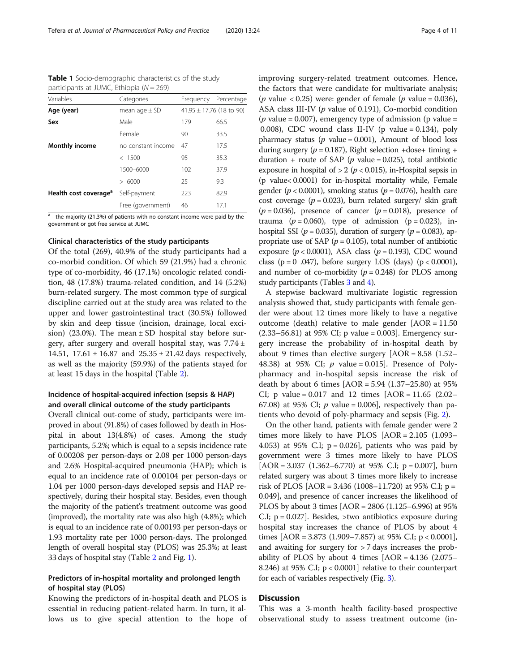| participants at JUMC, Ethiopia ( $N = 269$ ) |                    |           |                              |  |  |
|----------------------------------------------|--------------------|-----------|------------------------------|--|--|
| Variables                                    | Categories         | Frequency | Percentage                   |  |  |
| Age (year)                                   | mean age $\pm$ SD  |           | $41.95 \pm 17.76$ (18 to 90) |  |  |
| Sex                                          | Male               | 179       | 66.5                         |  |  |
|                                              | Female             | 90        | 33.5                         |  |  |
| <b>Monthly income</b>                        | no constant income | 47        | 17.5                         |  |  |
|                                              | < 1500             | 95        | 35.3                         |  |  |

<span id="page-3-0"></span>Table 1 Socio-demographic characteristics of the study

 $a - b$  - the majority (21.3%) of patients with no constant income were paid by the government or got free service at JUMC

Health cost coverage<sup>a</sup> Self-payment 223 82.9

1500–6000 102 37.9 > 6000 25 9.3

Free (government) 46 17.1

#### Clinical characteristics of the study participants

Of the total (269), 40.9% of the study participants had a co-morbid condition. Of which 59 (21.9%) had a chronic type of co-morbidity, 46 (17.1%) oncologic related condition, 48 (17.8%) trauma-related condition, and 14 (5.2%) burn-related surgery. The most common type of surgical discipline carried out at the study area was related to the upper and lower gastrointestinal tract (30.5%) followed by skin and deep tissue (incision, drainage, local excision) (23.0%). The mean  $\pm$  SD hospital stay before surgery, after surgery and overall hospital stay, was  $7.74 \pm$ 14.51,  $17.61 \pm 16.87$  and  $25.35 \pm 21.42$  days respectively, as well as the majority (59.9%) of the patients stayed for at least 15 days in the hospital (Table [2\)](#page-4-0).

## Incidence of hospital-acquired infection (sepsis & HAP) and overall clinical outcome of the study participants

Overall clinical out-come of study, participants were improved in about (91.8%) of cases followed by death in Hospital in about 13(4.8%) of cases. Among the study participants, 5.2%; which is equal to a sepsis incidence rate of 0.00208 per person-days or 2.08 per 1000 person-days and 2.6% Hospital-acquired pneumonia (HAP); which is equal to an incidence rate of 0.00104 per person-days or 1.04 per 1000 person-days developed sepsis and HAP respectively, during their hospital stay. Besides, even though the majority of the patient's treatment outcome was good (improved), the mortality rate was also high (4.8%); which is equal to an incidence rate of 0.00193 per person-days or 1.93 mortality rate per 1000 person-days. The prolonged length of overall hospital stay (PLOS) was 25.3%; at least 33 days of hospital stay (Table [2](#page-4-0) and Fig. [1\)](#page-5-0).

## Predictors of in-hospital mortality and prolonged length of hospital stay (PLOS)

Knowing the predictors of in-hospital death and PLOS is essential in reducing patient-related harm. In turn, it allows us to give special attention to the hope of improving surgery-related treatment outcomes. Hence, the factors that were candidate for multivariate analysis; (*p* value < 0.25) were: gender of female (*p* value = 0.036), ASA class III-IV (p value of 0.191), Co-morbid condition ( $p$  value = 0.007), emergency type of admission ( $p$  value = 0.008), CDC wound class II-IV (p value =  $0.134$ ), poly pharmacy status ( $p$  value = 0.001), Amount of blood loss during surgery ( $p = 0.187$ ), Right selection +dose+ timing + duration + route of SAP ( $p$  value = 0.025), total antibiotic exposure in hospital of  $> 2$  ( $p < 0.015$ ), in-Hospital sepsis in (p value< 0.0001) for in-hospital mortality while, Female gender ( $p < 0.0001$ ), smoking status ( $p = 0.076$ ), health care cost coverage ( $p = 0.023$ ), burn related surgery/ skin graft  $(p = 0.036)$ , presence of cancer  $(p = 0.018)$ , presence of trauma ( $p = 0.060$ ), type of admission ( $p = 0.023$ ), inhospital SSI ( $p = 0.035$ ), duration of surgery ( $p = 0.083$ ), appropriate use of SAP ( $p = 0.105$ ), total number of antibiotic exposure ( $p < 0.0001$ ), ASA class ( $p = 0.193$ ), CDC wound class ( $p = 0$  .047), before surgery LOS (days) ( $p < 0.0001$ ), and number of co-morbidity  $(p = 0.248)$  for PLOS among study participants (Tables [3](#page-6-0) and [4](#page-7-0)).

A stepwise backward multivariate logistic regression analysis showed that, study participants with female gender were about 12 times more likely to have a negative outcome (death) relative to male gender  $[AOR = 11.50]$  $(2.33-56.81)$  at 95% CI; p value = 0.003]. Emergency surgery increase the probability of in-hospital death by about 9 times than elective surgery  $[AOR = 8.58 \ (1.52 -$ 48.38) at 95% CI;  $p$  value = 0.015]. Presence of Polypharmacy and in-hospital sepsis increase the risk of death by about 6 times [AOR = 5.94 (1.37–25.80) at 95% CI; p value =  $0.017$  and 12 times  $[AOR = 11.65 (2.02 -$ 67.08) at 95% CI;  $p$  value = 0.006], respectively than patients who devoid of poly-pharmacy and sepsis (Fig. [2\)](#page-8-0).

On the other hand, patients with female gender were 2 times more likely to have PLOS [AOR = 2.105 (1.093– 4.053) at 95% C.I;  $p = 0.026$ , patients who was paid by government were 3 times more likely to have PLOS  $[AOR = 3.037 (1.362 - 6.770)$  at 95% C.I; p = 0.007, burn related surgery was about 3 times more likely to increase risk of PLOS [AOR = 3.436 (1008–11.720) at 95% C.I;  $p =$ 0.049], and presence of cancer increases the likelihood of PLOS by about 3 times [AOR = 2806 (1.125–6.996) at 95% C.I;  $p = 0.027$ . Besides,  $>$ two antibiotics exposure during hospital stay increases the chance of PLOS by about 4 times  $[AOR = 3.873 (1.909 - 7.857)$  at 95% C.I;  $p < 0.0001$ ], and awaiting for surgery for > 7 days increases the probability of PLOS by about 4 times  $[AOR = 4.136 (2.075 -$ 8.246) at 95% C.I; p < 0.0001] relative to their counterpart for each of variables respectively (Fig. [3\)](#page-9-0).

## **Discussion**

This was a 3-month health facility-based prospective observational study to assess treatment outcome (in-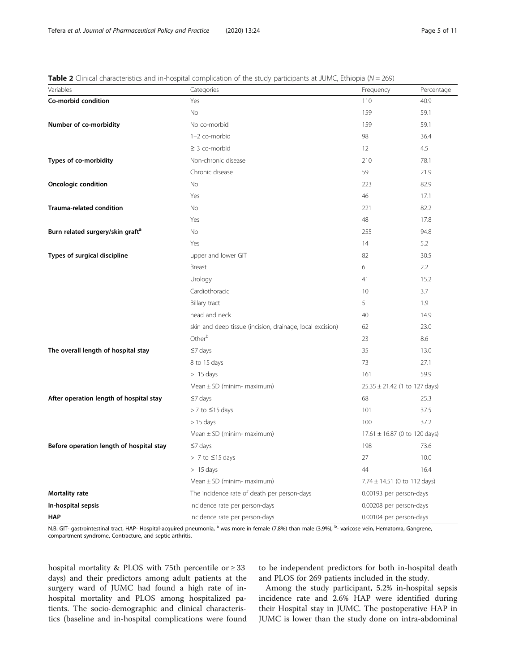| Variables                                    | Categories                                                | Frequency                         | Percentage |
|----------------------------------------------|-----------------------------------------------------------|-----------------------------------|------------|
| Co-morbid condition                          | Yes                                                       | 110                               | 40.9       |
|                                              | <b>No</b>                                                 | 159                               | 59.1       |
| Number of co-morbidity                       | No co-morbid                                              | 159                               | 59.1       |
|                                              | 1-2 co-morbid                                             | 98                                | 36.4       |
|                                              | $\geq$ 3 co-morbid                                        | 12                                | 4.5        |
| Types of co-morbidity                        | Non-chronic disease                                       | 210                               | 78.1       |
|                                              | Chronic disease                                           | 59                                | 21.9       |
| <b>Oncologic condition</b>                   | No                                                        | 223                               | 82.9       |
|                                              | Yes                                                       | 46                                | 17.1       |
| Trauma-related condition                     | No                                                        | 221                               | 82.2       |
|                                              | Yes                                                       | 48                                | 17.8       |
| Burn related surgery/skin graft <sup>a</sup> | No                                                        | 255                               | 94.8       |
|                                              | Yes                                                       | 14                                | 5.2        |
| Types of surgical discipline                 | upper and lower GIT                                       | 82                                | 30.5       |
|                                              | Breast                                                    | 6                                 | 2.2        |
|                                              | Urology                                                   | 41                                | 15.2       |
|                                              | Cardiothoracic                                            | 10                                | 3.7        |
|                                              | <b>Billary tract</b>                                      | 5                                 | 1.9        |
|                                              | head and neck                                             | 40                                | 14.9       |
|                                              | skin and deep tissue (incision, drainage, local excision) | 62                                | 23.0       |
|                                              | Other <sup>b</sup>                                        | 23                                | 8.6        |
| The overall length of hospital stay          | $\leq$ 7 days                                             | 35                                | 13.0       |
|                                              | 8 to 15 days                                              | 73                                | 27.1       |
|                                              | $> 15 \text{ days}$                                       | 161                               | 59.9       |
|                                              | Mean $\pm$ SD (minim- maximum)                            | $25.35 \pm 21.42$ (1 to 127 days) |            |
| After operation length of hospital stay      | $\leq$ 7 days                                             | 68                                | 25.3       |
|                                              | > 7 to ≤15 days                                           | 101                               | 37.5       |
|                                              | $> 15$ days                                               | 100                               | 37.2       |
|                                              | Mean $\pm$ SD (minim- maximum)                            | $17.61 \pm 16.87$ (0 to 120 days) |            |
| Before operation length of hospital stay     | $\leq$ 7 days                                             | 198                               | 73.6       |
|                                              | > 7 to ≤15 days                                           | 27                                | 10.0       |
|                                              | $>15$ days                                                | 44                                | 16.4       |
|                                              | Mean $\pm$ SD (minim- maximum)                            | $7.74 \pm 14.51$ (0 to 112 days)  |            |
| Mortality rate                               | The incidence rate of death per person-days               | 0.00193 per person-days           |            |
| In-hospital sepsis                           | Incidence rate per person-days                            | 0.00208 per person-days           |            |
| <b>HAP</b>                                   | Incidence rate per person-days                            | 0.00104 per person-days           |            |

<span id="page-4-0"></span>**Table 2** Clinical characteristics and in-hospital complication of the study participants at JUMC, Ethiopia ( $N = 269$ )

N.B: GIT- gastrointestinal tract, HAP- Hospital-acquired pneumonia, <sup>a</sup> was more in female (7.8%) than male (3.9%), <sup>b</sup>- varicose vein, Hematoma, Gangrene, compartment syndrome, Contracture, and septic arthritis.

hospital mortality & PLOS with 75th percentile or  $\geq$  33 days) and their predictors among adult patients at the surgery ward of JUMC had found a high rate of inhospital mortality and PLOS among hospitalized patients. The socio-demographic and clinical characteristics (baseline and in-hospital complications were found

to be independent predictors for both in-hospital death and PLOS for 269 patients included in the study.

Among the study participant, 5.2% in-hospital sepsis incidence rate and 2.6% HAP were identified during their Hospital stay in JUMC. The postoperative HAP in JUMC is lower than the study done on intra-abdominal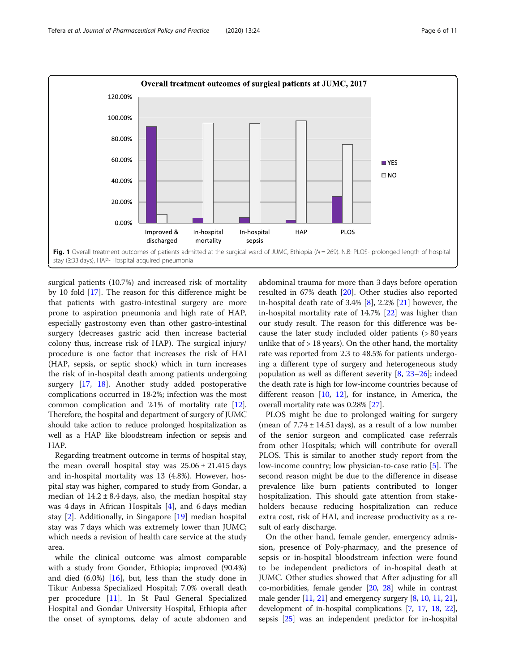<span id="page-5-0"></span>

surgical patients (10.7%) and increased risk of mortality by 10 fold [\[17\]](#page-10-0). The reason for this difference might be that patients with gastro-intestinal surgery are more prone to aspiration pneumonia and high rate of HAP, especially gastrostomy even than other gastro-intestinal surgery (decreases gastric acid then increase bacterial colony thus, increase risk of HAP). The surgical injury/ procedure is one factor that increases the risk of HAI (HAP, sepsis, or septic shock) which in turn increases the risk of in-hospital death among patients undergoing surgery [\[17](#page-10-0), [18](#page-10-0)]. Another study added postoperative complications occurred in 18·2%; infection was the most common complication and 2·1% of mortality rate [\[12](#page-10-0)]. Therefore, the hospital and department of surgery of JUMC should take action to reduce prolonged hospitalization as well as a HAP like bloodstream infection or sepsis and HAP.

Regarding treatment outcome in terms of hospital stay, the mean overall hospital stay was  $25.06 \pm 21.415$  days and in-hospital mortality was 13 (4.8%). However, hospital stay was higher, compared to study from Gondar, a median of  $14.2 \pm 8.4$  days, also, the median hospital stay was 4 days in African Hospitals [[4](#page-10-0)], and 6 days median stay [\[2](#page-10-0)]. Additionally, in Singapore [[19\]](#page-10-0) median hospital stay was 7 days which was extremely lower than JUMC; which needs a revision of health care service at the study area.

while the clinical outcome was almost comparable with a study from Gonder, Ethiopia; improved (90.4%) and died (6.0%) [\[16](#page-10-0)], but, less than the study done in Tikur Anbessa Specialized Hospital; 7.0% overall death per procedure [[11](#page-10-0)]. In St Paul General Specialized Hospital and Gondar University Hospital, Ethiopia after the onset of symptoms, delay of acute abdomen and

abdominal trauma for more than 3 days before operation resulted in 67% death [[20\]](#page-10-0). Other studies also reported in-hospital death rate of  $3.4\%$   $[8]$  $[8]$ ,  $2.2\%$   $[21]$  however, the in-hospital mortality rate of 14.7% [[22\]](#page-10-0) was higher than our study result. The reason for this difference was because the later study included older patients (> 80 years unlike that of  $> 18$  years). On the other hand, the mortality rate was reported from 2.3 to 48.5% for patients undergoing a different type of surgery and heterogeneous study population as well as different severity [[8,](#page-10-0) [23](#page-10-0)–[26](#page-10-0)]; indeed the death rate is high for low-income countries because of different reason  $[10, 12]$  $[10, 12]$  $[10, 12]$ , for instance, in America, the overall mortality rate was 0.28% [\[27\]](#page-10-0).

PLOS might be due to prolonged waiting for surgery (mean of  $7.74 \pm 14.51$  days), as a result of a low number of the senior surgeon and complicated case referrals from other Hospitals; which will contribute for overall PLOS. This is similar to another study report from the low-income country; low physician-to-case ratio [[5\]](#page-10-0). The second reason might be due to the difference in disease prevalence like burn patients contributed to longer hospitalization. This should gate attention from stakeholders because reducing hospitalization can reduce extra cost, risk of HAI, and increase productivity as a result of early discharge.

On the other hand, female gender, emergency admission, presence of Poly-pharmacy, and the presence of sepsis or in-hospital bloodstream infection were found to be independent predictors of in-hospital death at JUMC. Other studies showed that After adjusting for all co-morbidities, female gender [\[20,](#page-10-0) [28](#page-10-0)] while in contrast male gender [\[11](#page-10-0), [21\]](#page-10-0) and emergency surgery [[8,](#page-10-0) [10,](#page-10-0) [11](#page-10-0), [21](#page-10-0)], development of in-hospital complications [\[7](#page-10-0), [17](#page-10-0), [18](#page-10-0), [22](#page-10-0)], sepsis [\[25\]](#page-10-0) was an independent predictor for in-hospital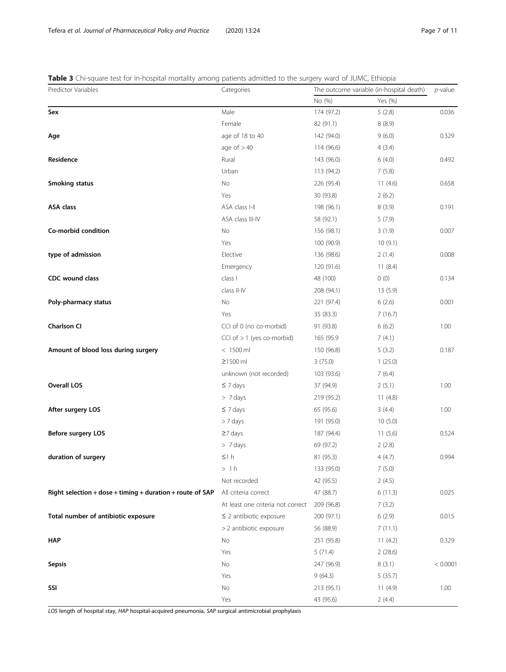<span id="page-6-0"></span>

|  |  | Table 3 Chi-square test for in-hospital mortality among patients admitted to the surgery ward of JUMC, Ethiopia |
|--|--|-----------------------------------------------------------------------------------------------------------------|
|--|--|-----------------------------------------------------------------------------------------------------------------|

| Predictor Variables                                       | Categories                        | The outcome variable (in-hospital death) |            | p-value  |
|-----------------------------------------------------------|-----------------------------------|------------------------------------------|------------|----------|
|                                                           |                                   | No (%)                                   | Yes (%)    |          |
| Sex                                                       | Male                              | 174 (97.2)                               | 5(2.8)     | 0.036    |
|                                                           | Female                            | 82 (91.1)                                | 8(8.9)     |          |
| Age                                                       | age of 18 to 40                   | 142 (94.0)                               | 9(6.0)     | 0.329    |
|                                                           | age of $>40$                      | 114 (96.6)                               | 4(3.4)     |          |
| Residence                                                 | Rural                             | 143 (96.0)                               | 6(4.0)     | 0.492    |
|                                                           | Urban                             | 113 (94.2)                               | 7(5.8)     |          |
| Smoking status                                            | No                                | 226 (95.4)                               | 11(4.6)    | 0.658    |
|                                                           | Yes                               | 30 (93.8)                                | 2(6.2)     |          |
| <b>ASA class</b>                                          | ASA class I-II                    | 198 (96.1)                               | 8(3.9)     | 0.191    |
|                                                           | ASA class III-IV                  | 58 (92.1)                                | 5(7.9)     |          |
| Co-morbid condition                                       | No                                | 156 (98.1)                               | 3(1.9)     | 0.007    |
|                                                           | Yes                               | 100 (90.9)                               | 10(9.1)    |          |
| type of admission                                         | Elective                          | 136 (98.6)                               | 2(1.4)     | 0.008    |
|                                                           | Emergency                         | 120 (91.6)                               | 11(8.4)    |          |
| <b>CDC</b> wound class                                    | class I                           | 48 (100)                                 | 0(0)       | 0.134    |
|                                                           | class II-IV                       | 208 (94.1)                               | 13(5.9)    |          |
| Poly-pharmacy status                                      | No                                | 221 (97.4)                               | 6(2.6)     | 0.001    |
|                                                           | Yes                               | 35 (83.3)                                | 7(16.7)    |          |
| <b>Charlson CI</b>                                        | CCI of 0 (no co-morbid)           | 91 (93.8)                                | 6(6.2)     | 1.00     |
|                                                           | CCI of $> 1$ (yes co-morbid)      | 165 (95.9                                | 7(4.1)     |          |
| Amount of blood loss during surgery                       | $< 1500$ ml                       | 150 (96.8)                               | 5(3.2)     | 0.187    |
|                                                           | $\geq$ 1500 ml                    | 3(75.0)                                  | 1(25.0)    |          |
|                                                           | unknown (not recorded)            | 103 (93.6)                               | 7(6.4)     |          |
| <b>Overall LOS</b>                                        | $\leq 7$ days                     | 37 (94.9)                                | 2(5.1)     | 1.00     |
|                                                           | > 7 days                          | 219 (95.2)                               | 11(4.8)    |          |
| After surgery LOS                                         | $\leq 7$ days                     | 65 (95.6)                                | 3(4.4)     | 1.00     |
|                                                           | > 7 days                          | 191 (95.0)                               | 10(5.0)    |          |
| Before surgery LOS                                        | $\geq$ 7 days                     | 187 (94.4)                               | 11(5.6)    | 0.524    |
|                                                           | $> 7$ days                        | 69 (97.2)                                | 2(2.8)     |          |
| duration of surgery                                       | $\leq 1 h$                        | 81 (95.3)                                | 4(4.7)     | 0.994    |
|                                                           | >1h                               | 133 (95.0)                               | 7(5.0)     |          |
|                                                           | Not recorded                      | 42 (95.5)                                | 2(4.5)     |          |
| Right selection + dose + timing + duration + route of SAP | All criteria correct              | 47 (88.7)                                | 6(11.3)    | 0.025    |
|                                                           | At least one criteria not correct | 209 (96.8)                               | 7(3.2)     |          |
| Total number of antibiotic exposure                       | $\leq$ 2 antibiotic exposure      | 200 (97.1)                               | 6(2.9)     | 0.015    |
|                                                           | > 2 antibiotic exposure           | 56 (88.9)                                | 7(11.1)    |          |
| <b>HAP</b>                                                | No                                | 251 (95.8)                               | 11 $(4.2)$ | 0.329    |
|                                                           | Yes                               | 5(71.4)                                  | 2(28.6)    |          |
| <b>Sepsis</b>                                             | No                                | 247 (96.9)                               | 8(3.1)     | < 0.0001 |
|                                                           | Yes                               | 9(64.3)                                  | 5(35.7)    |          |
| SSI                                                       | No                                | 213 (95.1)                               | 11 $(4.9)$ | 1.00     |
|                                                           | Yes                               | 43 (95.6)                                | 2(4.4)     |          |

LOS length of hospital stay, HAP hospital-acquired pneumonia, SAP surgical antimicrobial prophylaxis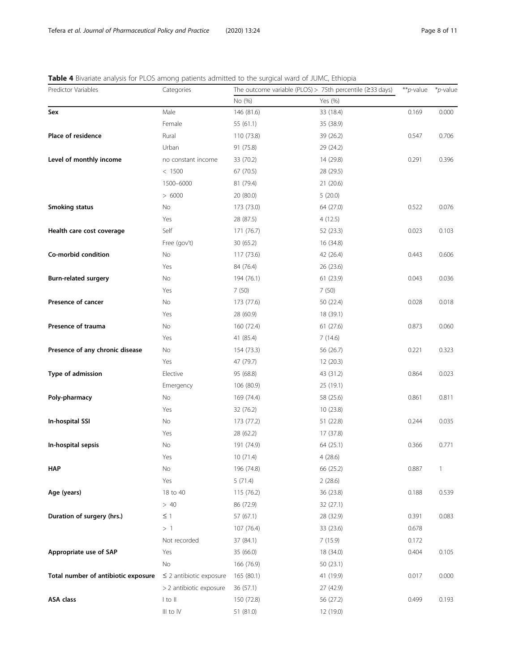<span id="page-7-0"></span>

|  | Table 4 Bivariate analysis for PLOS among patients admitted to the surgical ward of JUMC, Ethiopia |  |
|--|----------------------------------------------------------------------------------------------------|--|
|  |                                                                                                    |  |

| Predictor Variables                 | Categories                   | The outcome variable (PLOS) > 75th percentile ( $\geq$ 33 days) |           | **p-value | *p-value     |
|-------------------------------------|------------------------------|-----------------------------------------------------------------|-----------|-----------|--------------|
|                                     |                              | No (%)                                                          | Yes (%)   |           |              |
| Sex                                 | Male                         | 146 (81.6)                                                      | 33 (18.4) | 0.169     | 0.000        |
|                                     | Female                       | 55 (61.1)                                                       | 35 (38.9) |           |              |
| Place of residence                  | Rural                        | 110 (73.8)                                                      | 39 (26.2) | 0.547     | 0.706        |
|                                     | Urban                        | 91 (75.8)                                                       | 29 (24.2) |           |              |
| Level of monthly income             | no constant income           | 33 (70.2)                                                       | 14 (29.8) | 0.291     | 0.396        |
|                                     | < 1500                       | 67 (70.5)                                                       | 28 (29.5) |           |              |
|                                     | 1500-6000                    | 81 (79.4)                                                       | 21 (20.6) |           |              |
|                                     | > 6000                       | 20 (80.0)                                                       | 5(20.0)   |           |              |
| <b>Smoking status</b>               | No                           | 173 (73.0)                                                      | 64 (27.0) | 0.522     | 0.076        |
|                                     | Yes                          | 28 (87.5)                                                       | 4(12.5)   |           |              |
| Health care cost coverage           | Self                         | 171 (76.7)                                                      | 52 (23.3) | 0.023     | 0.103        |
|                                     | Free (gov't)                 | 30 (65.2)                                                       | 16 (34.8) |           |              |
| Co-morbid condition                 | No                           | 117 (73.6)                                                      | 42 (26.4) | 0.443     | 0.606        |
|                                     | Yes                          | 84 (76.4)                                                       | 26 (23.6) |           |              |
| <b>Burn-related surgery</b>         | No                           | 194 (76.1)                                                      | 61 (23.9) | 0.043     | 0.036        |
|                                     | Yes                          | 7(50)                                                           | 7(50)     |           |              |
| Presence of cancer                  | No                           | 173 (77.6)                                                      | 50 (22.4) | 0.028     | 0.018        |
|                                     | Yes                          | 28 (60.9)                                                       | 18 (39.1) |           |              |
| Presence of trauma                  | No                           | 160 (72.4)                                                      | 61(27.6)  | 0.873     | 0.060        |
|                                     | Yes                          | 41 (85.4)                                                       | 7(14.6)   |           |              |
| Presence of any chronic disease     | No                           | 154 (73.3)                                                      | 56 (26.7) | 0.221     | 0.323        |
|                                     | Yes                          | 47 (79.7)                                                       | 12(20.3)  |           |              |
| Type of admission                   | Elective                     | 95 (68.8)                                                       | 43 (31.2) | 0.864     | 0.023        |
|                                     | Emergency                    | 106 (80.9)                                                      | 25 (19.1) |           |              |
| Poly-pharmacy                       | No                           | 169 (74.4)                                                      | 58 (25.6) | 0.861     | 0.811        |
|                                     | Yes                          | 32 (76.2)                                                       | 10(23.8)  |           |              |
| In-hospital SSI                     | No                           | 173 (77.2)                                                      | 51 (22.8) | 0.244     | 0.035        |
|                                     | Yes                          | 28 (62.2)                                                       | 17 (37.8) |           |              |
| In-hospital sepsis                  | No                           | 191 (74.9)                                                      | 64 (25.1) | 0.366     | 0.771        |
|                                     | Yes                          | 10 (71.4)                                                       | 4(28.6)   |           |              |
| <b>HAP</b>                          | No                           | 196 (74.8)                                                      | 66 (25.2) | 0.887     | $\mathbf{1}$ |
|                                     | Yes                          | 5(71.4)                                                         | 2(28.6)   |           |              |
| Age (years)                         | 18 to 40                     | 115 (76.2)                                                      | 36 (23.8) | 0.188     | 0.539        |
|                                     | >40                          | 86 (72.9)                                                       | 32 (27.1) |           |              |
| Duration of surgery (hrs.)          | $\leq$ 1                     | 57(67.1)                                                        | 28 (32.9) | 0.391     | 0.083        |
|                                     | >1                           | 107 (76.4)                                                      | 33 (23.6) | 0.678     |              |
|                                     | Not recorded                 | 37 (84.1)                                                       | 7(15.9)   | 0.172     |              |
| Appropriate use of SAP              | Yes                          | 35 (66.0)                                                       | 18 (34.0) | 0.404     | 0.105        |
|                                     | No                           | 166 (76.9)                                                      | 50 (23.1) |           |              |
| Total number of antibiotic exposure | $\leq$ 2 antibiotic exposure | 165 (80.1)                                                      | 41 (19.9) | 0.017     | 0.000        |
|                                     | > 2 antibiotic exposure      | 36(57.1)                                                        | 27 (42.9) |           |              |
| <b>ASA class</b>                    | $ $ to $  $                  | 150 (72.8)                                                      | 56 (27.2) | 0.499     | 0.193        |
|                                     | III to IV                    | 51 (81.0)                                                       | 12 (19.0) |           |              |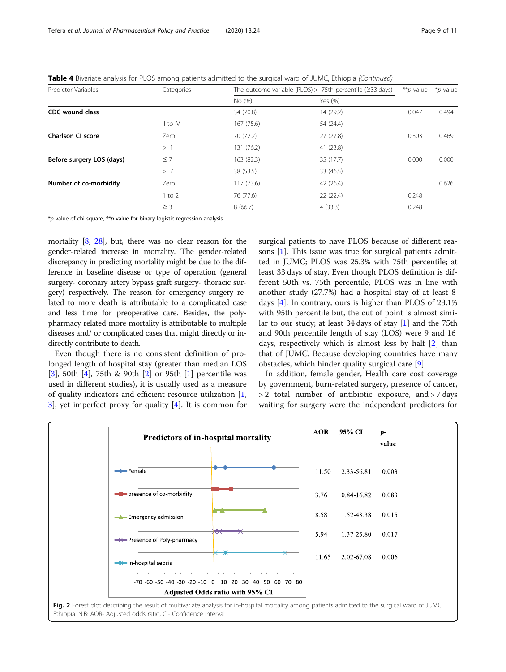| Predictor Variables |  | Categories   |            | The outcome variable (PLOS) > 75th percentile ( $\geq$ 33 days) | ** <i>p</i> -value | <i>*p</i> -value |
|---------------------|--|--------------|------------|-----------------------------------------------------------------|--------------------|------------------|
|                     |  |              | No (%)     | Yes (%)                                                         |                    |                  |
| CDC wound class     |  |              | 34 (70.8)  | 14(29.2)                                                        | 0.047              | 0.494            |
|                     |  | $II$ to $IV$ | 167 (75.6) | 54 (24.4)                                                       |                    |                  |

**Charlson CI score** 2003 201469 2014 2014 2014 2014 27 (72.2) 27 (27.8) 27 (27.8) 27 (27.8) 27 (27.8) 2014 2020 20  $> 1$  131 (76.2) 41 (23.8) **Before surgery LOS (days)**  $\leq 7$  163 (82.3)  $\leq 35$  (17.7) 0.000 0.000 0.000 > 7 38 (53.5) 33 (46.5) **Number of co-morbidity**  $\begin{array}{ccc} 2 \times 2 & 117 & (73.6) & 42 & (26.4) & 0.626 \end{array}$ 

> 1 to 2 76 (77.6) 22 (22.4) 0.248  $\geq$  3 8 (66.7) 8 (66.7) 4 (33.3) 0.248

<span id="page-8-0"></span>Table 4 Bivariate analysis for PLOS among patients admitted to the surgical ward of JUMC, Ethiopia (Continued)

 $\overline{\phi}$  value of chi-square, \*\*p-value for binary logistic regression analysis

mortality [\[8,](#page-10-0) [28\]](#page-10-0), but, there was no clear reason for the gender-related increase in mortality. The gender-related discrepancy in predicting mortality might be due to the difference in baseline disease or type of operation (general surgery- coronary artery bypass graft surgery- thoracic surgery) respectively. The reason for emergency surgery related to more death is attributable to a complicated case and less time for preoperative care. Besides, the polypharmacy related more mortality is attributable to multiple diseases and/ or complicated cases that might directly or indirectly contribute to death.

Even though there is no consistent definition of prolonged length of hospital stay (greater than median LOS [[3\]](#page-10-0), 50th [[4\]](#page-10-0), 75th & 90th [[2\]](#page-10-0) or 95th [[1\]](#page-10-0) percentile was used in different studies), it is usually used as a measure of quality indicators and efficient resource utilization [[1](#page-10-0), [3\]](#page-10-0), yet imperfect proxy for quality [\[4\]](#page-10-0). It is common for

surgical patients to have PLOS because of different reasons [\[1](#page-10-0)]. This issue was true for surgical patients admitted in JUMC; PLOS was 25.3% with 75th percentile; at least 33 days of stay. Even though PLOS definition is different 50th vs. 75th percentile, PLOS was in line with another study (27.7%) had a hospital stay of at least 8 days [\[4\]](#page-10-0). In contrary, ours is higher than PLOS of 23.1% with 95th percentile but, the cut of point is almost similar to our study; at least 34 days of stay [\[1](#page-10-0)] and the 75th and 90th percentile length of stay (LOS) were 9 and 16 days, respectively which is almost less by half [[2\]](#page-10-0) than that of JUMC. Because developing countries have many obstacles, which hinder quality surgical care [\[9](#page-10-0)].

In addition, female gender, Health care cost coverage by government, burn-related surgery, presence of cancer, > 2 total number of antibiotic exposure, and > 7 days waiting for surgery were the independent predictors for

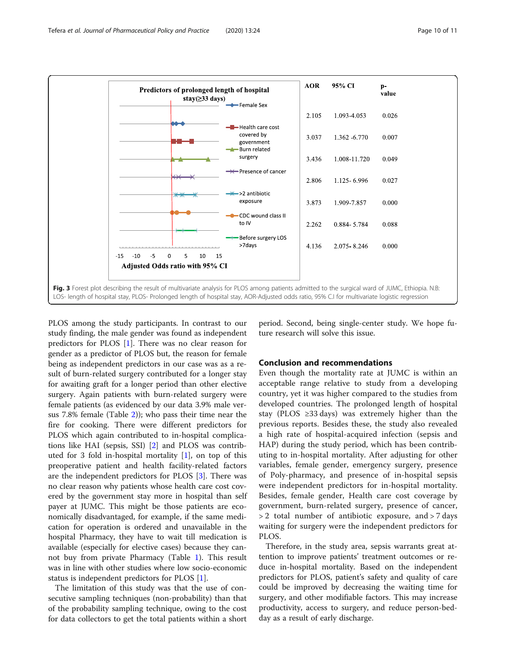<span id="page-9-0"></span>

PLOS among the study participants. In contrast to our study finding, the male gender was found as independent predictors for PLOS [\[1](#page-10-0)]. There was no clear reason for gender as a predictor of PLOS but, the reason for female being as independent predictors in our case was as a result of burn-related surgery contributed for a longer stay for awaiting graft for a longer period than other elective surgery. Again patients with burn-related surgery were female patients (as evidenced by our data 3.9% male versus 7.8% female (Table [2\)](#page-4-0)); who pass their time near the fire for cooking. There were different predictors for PLOS which again contributed to in-hospital complications like HAI (sepsis, SSI) [[2\]](#page-10-0) and PLOS was contributed for 3 fold in-hospital mortality [[1](#page-10-0)], on top of this preoperative patient and health facility-related factors are the independent predictors for PLOS [[3\]](#page-10-0). There was no clear reason why patients whose health care cost covered by the government stay more in hospital than self payer at JUMC. This might be those patients are economically disadvantaged, for example, if the same medication for operation is ordered and unavailable in the hospital Pharmacy, they have to wait till medication is available (especially for elective cases) because they cannot buy from private Pharmacy (Table [1](#page-3-0)). This result was in line with other studies where low socio-economic status is independent predictors for PLOS [[1\]](#page-10-0).

The limitation of this study was that the use of consecutive sampling techniques (non-probability) than that of the probability sampling technique, owing to the cost for data collectors to get the total patients within a short period. Second, being single-center study. We hope future research will solve this issue.

## Conclusion and recommendations

Even though the mortality rate at JUMC is within an acceptable range relative to study from a developing country, yet it was higher compared to the studies from developed countries. The prolonged length of hospital stay (PLOS ≥33 days) was extremely higher than the previous reports. Besides these, the study also revealed a high rate of hospital-acquired infection (sepsis and HAP) during the study period, which has been contributing to in-hospital mortality. After adjusting for other variables, female gender, emergency surgery, presence of Poly-pharmacy, and presence of in-hospital sepsis were independent predictors for in-hospital mortality. Besides, female gender, Health care cost coverage by government, burn-related surgery, presence of cancer, > 2 total number of antibiotic exposure, and > 7 days waiting for surgery were the independent predictors for PLOS.

Therefore, in the study area, sepsis warrants great attention to improve patients' treatment outcomes or reduce in-hospital mortality. Based on the independent predictors for PLOS, patient's safety and quality of care could be improved by decreasing the waiting time for surgery, and other modifiable factors. This may increase productivity, access to surgery, and reduce person-bedday as a result of early discharge.